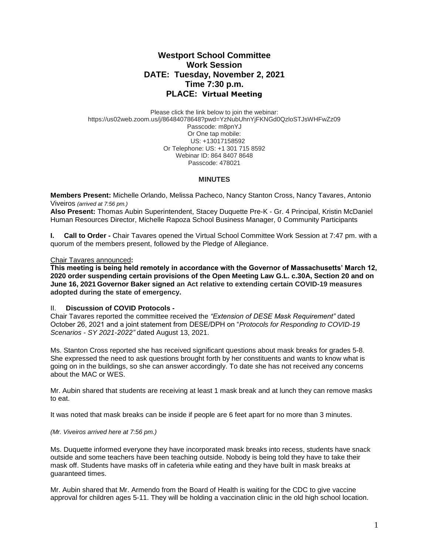# **Westport School Committee Work Session DATE: Tuesday, November 2, 2021 Time 7:30 p.m. PLACE: Virtual Meeting**

Please click the link below to join the webinar: https://us02web.zoom.us/j/86484078648?pwd=YzNubUhnYjFKNGd0QzloSTJsWHFwZz09 Passcode: m8pnYJ Or One tap mobile: US: +13017158592 Or Telephone: US: +1 301 715 8592 Webinar ID: 864 8407 8648 Passcode: 478021

### **MINUTES**

**Members Present:** Michelle Orlando, Melissa Pacheco, Nancy Stanton Cross, Nancy Tavares, Antonio Viveiros *(arrived at 7:56 pm.)*

**Also Present:** Thomas Aubin Superintendent, Stacey Duquette Pre-K - Gr. 4 Principal, Kristin McDaniel Human Resources Director, Michelle Rapoza School Business Manager, 0 Community Participants

**I. Call to Order -** Chair Tavares opened the Virtual School Committee Work Session at 7:47 pm. with a quorum of the members present, followed by the Pledge of Allegiance.

#### Chair Tavares announced**:**

**This meeting is being held remotely in accordance with the Governor of Massachusetts' March 12, 2020 order suspending certain provisions of the Open Meeting Law G.L. c.30A, Section 20 and on June 16, 2021 Governor Baker signed an Act relative to extending certain COVID-19 measures adopted during the state of emergency.**

## II. **Discussion of COVID Protocols -**

Chair Tavares reported the committee received the *"Extension of DESE Mask Requirement"* dated October 26, 2021 and a joint statement from DESE/DPH on "*Protocols for Responding to COVID-19 Scenarios - SY 2021-2022"* dated August 13, 2021.

Ms. Stanton Cross reported she has received significant questions about mask breaks for grades 5-8. She expressed the need to ask questions brought forth by her constituents and wants to know what is going on in the buildings, so she can answer accordingly. To date she has not received any concerns about the MAC or WES.

Mr. Aubin shared that students are receiving at least 1 mask break and at lunch they can remove masks to eat.

It was noted that mask breaks can be inside if people are 6 feet apart for no more than 3 minutes.

#### *(Mr. Viveiros arrived here at 7:56 pm.)*

Ms. Duquette informed everyone they have incorporated mask breaks into recess, students have snack outside and some teachers have been teaching outside. Nobody is being told they have to take their mask off. Students have masks off in cafeteria while eating and they have built in mask breaks at guaranteed times.

Mr. Aubin shared that Mr. Armendo from the Board of Health is waiting for the CDC to give vaccine approval for children ages 5-11. They will be holding a vaccination clinic in the old high school location.